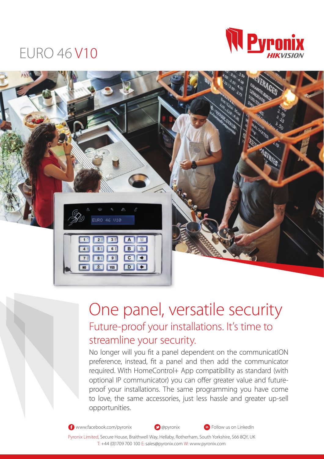## EURO 46 V10





## One panel, versatile security Future-proof your installations. It's time to streamline your security.

No longer will you fit a panel dependent on the communicatION preference, instead, fit a panel and then add the communicator required. With HomeControl+ App compatibility as standard (with optional IP communicator) you can offer greater value and futureproof your installations. The same programming you have come to love, the same accessories, just less hassle and greater up-sell opportunities.

**th** www.facebook.com/pyronix **a**pyronix **a a a in** Follow us on LinkedIn

Pyronix Limited, Secure House, Braithwell Way, Hellaby, Rotherham, South Yorkshire, S66 8QY, UK T: +44 (0)1709 700 100 E: sales@pyronix.com W: www.pyronix.com